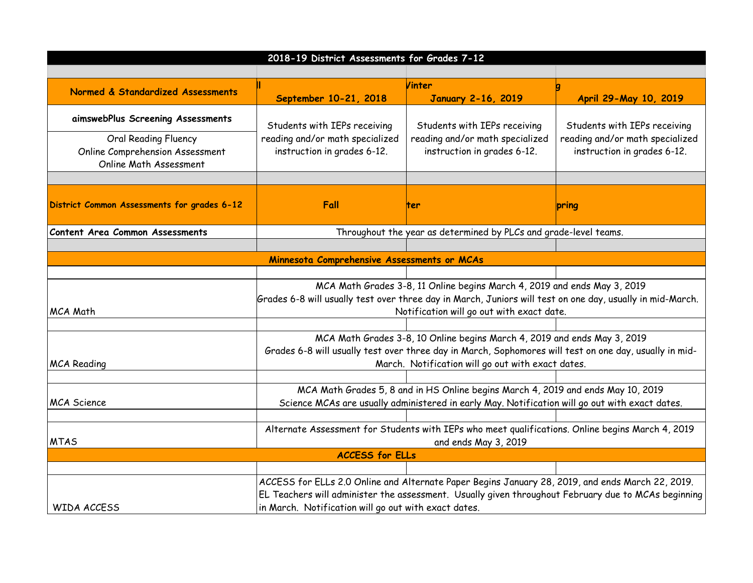| 2018-19 District Assessments for Grades 7-12                                      |                                                                                                                                                                                                         |                                                                                                |                                                                |  |
|-----------------------------------------------------------------------------------|---------------------------------------------------------------------------------------------------------------------------------------------------------------------------------------------------------|------------------------------------------------------------------------------------------------|----------------------------------------------------------------|--|
|                                                                                   |                                                                                                                                                                                                         |                                                                                                |                                                                |  |
| Normed & Standardized Assessments                                                 |                                                                                                                                                                                                         | Vinter                                                                                         |                                                                |  |
|                                                                                   | September 10-21, 2018                                                                                                                                                                                   | <b>January 2-16, 2019</b>                                                                      | April 29-May 10, 2019                                          |  |
| aimswebPlus Screening Assessments                                                 | Students with IEPs receiving                                                                                                                                                                            | Students with IEPs receiving                                                                   | Students with IEPs receiving                                   |  |
| Oral Reading Fluency<br>Online Comprehension Assessment<br>Online Math Assessment | reading and/or math specialized<br>instruction in grades 6-12.                                                                                                                                          | reading and/or math specialized<br>instruction in grades 6-12.                                 | reading and/or math specialized<br>instruction in grades 6-12. |  |
|                                                                                   |                                                                                                                                                                                                         |                                                                                                |                                                                |  |
| District Common Assessments for grades 6-12                                       | Fall                                                                                                                                                                                                    | lter                                                                                           | pring                                                          |  |
| Content Area Common Assessments                                                   | Throughout the year as determined by PLCs and grade-level teams.                                                                                                                                        |                                                                                                |                                                                |  |
|                                                                                   |                                                                                                                                                                                                         |                                                                                                |                                                                |  |
|                                                                                   | Minnesota Comprehensive Assessments or MCAs                                                                                                                                                             |                                                                                                |                                                                |  |
|                                                                                   |                                                                                                                                                                                                         |                                                                                                |                                                                |  |
|                                                                                   | MCA Math Grades 3-8, 11 Online begins March 4, 2019 and ends May 3, 2019                                                                                                                                |                                                                                                |                                                                |  |
|                                                                                   | Grades 6-8 will usually test over three day in March, Juniors will test on one day, usually in mid-March.                                                                                               |                                                                                                |                                                                |  |
| MCA Math                                                                          |                                                                                                                                                                                                         | Notification will go out with exact date.                                                      |                                                                |  |
|                                                                                   |                                                                                                                                                                                                         |                                                                                                |                                                                |  |
|                                                                                   | MCA Math Grades 3-8, 10 Online begins March 4, 2019 and ends May 3, 2019<br>Grades 6-8 will usually test over three day in March, Sophomores will test on one day, usually in mid-                      |                                                                                                |                                                                |  |
| <b>MCA Reading</b>                                                                |                                                                                                                                                                                                         | March. Notification will go out with exact dates.                                              |                                                                |  |
|                                                                                   |                                                                                                                                                                                                         |                                                                                                |                                                                |  |
|                                                                                   | MCA Math Grades 5, 8 and in HS Online begins March 4, 2019 and ends May 10, 2019                                                                                                                        |                                                                                                |                                                                |  |
| <b>MCA</b> Science                                                                |                                                                                                                                                                                                         | Science MCAs are usually administered in early May. Notification will go out with exact dates. |                                                                |  |
|                                                                                   |                                                                                                                                                                                                         |                                                                                                |                                                                |  |
|                                                                                   | Alternate Assessment for Students with IEPs who meet qualifications. Online begins March 4, 2019                                                                                                        |                                                                                                |                                                                |  |
| <b>MTAS</b>                                                                       | and ends May 3, 2019                                                                                                                                                                                    |                                                                                                |                                                                |  |
| <b>ACCESS for ELLs</b>                                                            |                                                                                                                                                                                                         |                                                                                                |                                                                |  |
|                                                                                   |                                                                                                                                                                                                         |                                                                                                |                                                                |  |
|                                                                                   | ACCESS for ELLs 2.0 Online and Alternate Paper Begins January 28, 2019, and ends March 22, 2019.<br>EL Teachers will administer the assessment. Usually given throughout February due to MCAs beginning |                                                                                                |                                                                |  |
| <b>WIDA ACCESS</b>                                                                | in March. Notification will go out with exact dates.                                                                                                                                                    |                                                                                                |                                                                |  |